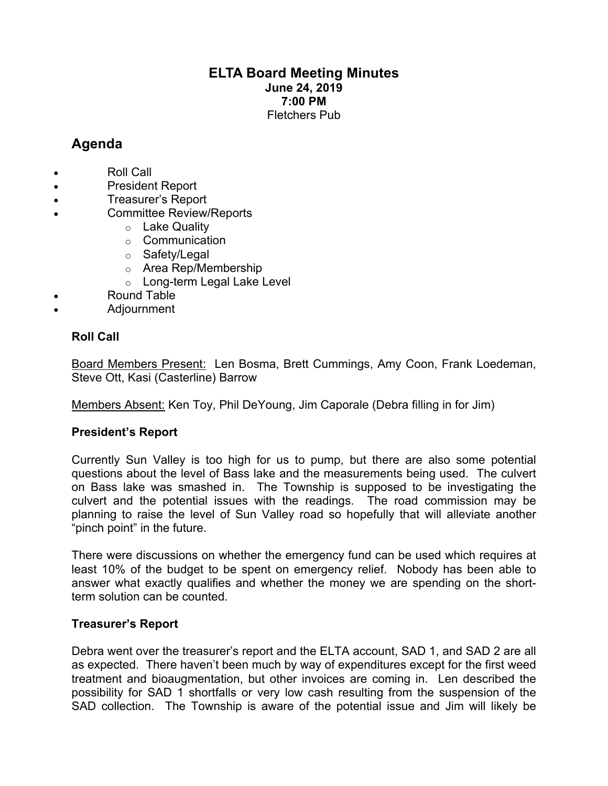# **ELTA Board Meeting Minutes June 24, 2019 7:00 PM** Fletchers Pub

# **Agenda**

- Roll Call
- President Report
- Treasurer's Report
- Committee Review/Reports
	- o Lake Quality
	- o Communication
	- o Safety/Legal
	- o Area Rep/Membership
	- o Long-term Legal Lake Level
- Round Table
- Adjournment

## **Roll Call**

Board Members Present: Len Bosma, Brett Cummings, Amy Coon, Frank Loedeman, Steve Ott, Kasi (Casterline) Barrow

Members Absent: Ken Toy, Phil DeYoung, Jim Caporale (Debra filling in for Jim)

## **President's Report**

Currently Sun Valley is too high for us to pump, but there are also some potential questions about the level of Bass lake and the measurements being used. The culvert on Bass lake was smashed in. The Township is supposed to be investigating the culvert and the potential issues with the readings. The road commission may be planning to raise the level of Sun Valley road so hopefully that will alleviate another "pinch point" in the future.

There were discussions on whether the emergency fund can be used which requires at least 10% of the budget to be spent on emergency relief. Nobody has been able to answer what exactly qualifies and whether the money we are spending on the shortterm solution can be counted.

## **Treasurer's Report**

Debra went over the treasurer's report and the ELTA account, SAD 1, and SAD 2 are all as expected. There haven't been much by way of expenditures except for the first weed treatment and bioaugmentation, but other invoices are coming in. Len described the possibility for SAD 1 shortfalls or very low cash resulting from the suspension of the SAD collection. The Township is aware of the potential issue and Jim will likely be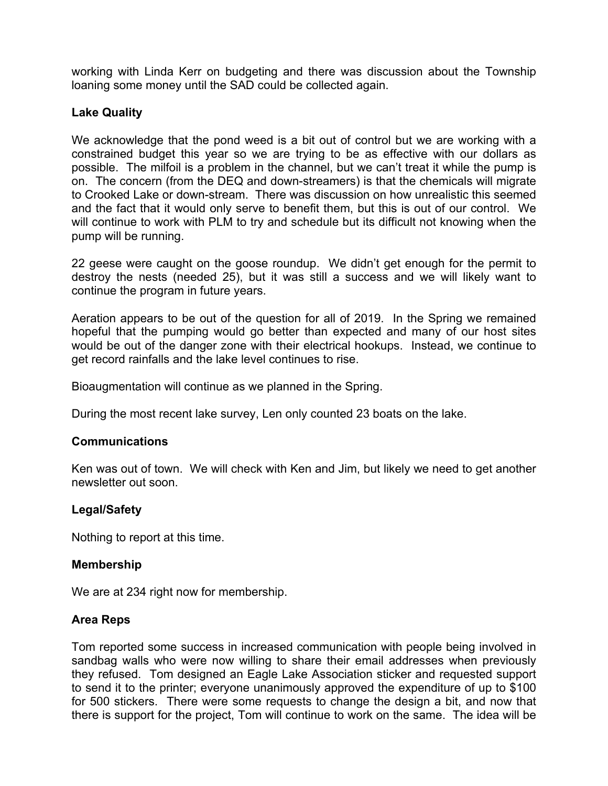working with Linda Kerr on budgeting and there was discussion about the Township loaning some money until the SAD could be collected again.

## **Lake Quality**

We acknowledge that the pond weed is a bit out of control but we are working with a constrained budget this year so we are trying to be as effective with our dollars as possible. The milfoil is a problem in the channel, but we can't treat it while the pump is on. The concern (from the DEQ and down-streamers) is that the chemicals will migrate to Crooked Lake or down-stream. There was discussion on how unrealistic this seemed and the fact that it would only serve to benefit them, but this is out of our control. We will continue to work with PLM to try and schedule but its difficult not knowing when the pump will be running.

22 geese were caught on the goose roundup. We didn't get enough for the permit to destroy the nests (needed 25), but it was still a success and we will likely want to continue the program in future years.

Aeration appears to be out of the question for all of 2019. In the Spring we remained hopeful that the pumping would go better than expected and many of our host sites would be out of the danger zone with their electrical hookups. Instead, we continue to get record rainfalls and the lake level continues to rise.

Bioaugmentation will continue as we planned in the Spring.

During the most recent lake survey, Len only counted 23 boats on the lake.

## **Communications**

Ken was out of town. We will check with Ken and Jim, but likely we need to get another newsletter out soon.

## **Legal/Safety**

Nothing to report at this time.

## **Membership**

We are at 234 right now for membership.

## **Area Reps**

Tom reported some success in increased communication with people being involved in sandbag walls who were now willing to share their email addresses when previously they refused. Tom designed an Eagle Lake Association sticker and requested support to send it to the printer; everyone unanimously approved the expenditure of up to \$100 for 500 stickers. There were some requests to change the design a bit, and now that there is support for the project, Tom will continue to work on the same. The idea will be